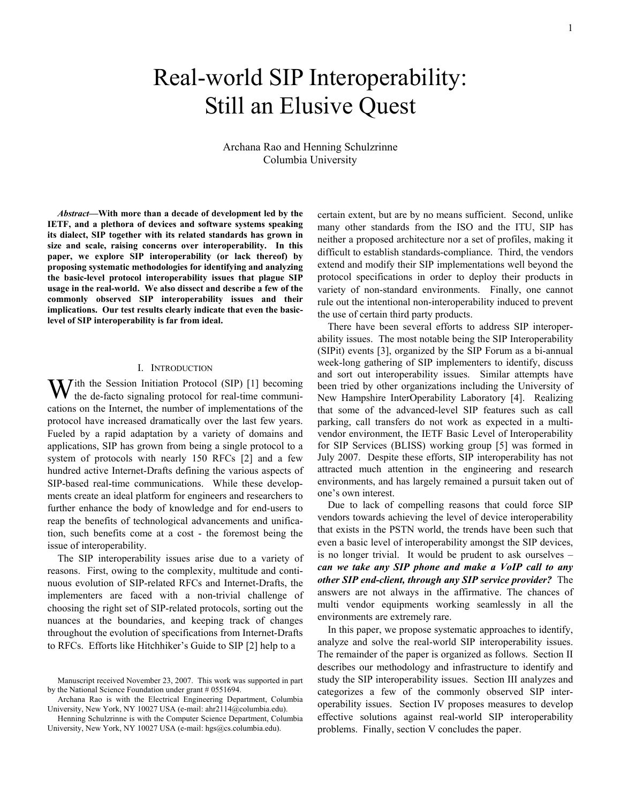# Real-world SIP Interoperability: Still an Elusive Quest

## Archana Rao and Henning Schulzrinne Columbia University

*Abstract***—With more than a decade of development led by the IETF, and a plethora of devices and software systems speaking its dialect, SIP together with its related standards has grown in size and scale, raising concerns over interoperability. In this paper, we explore SIP interoperability (or lack thereof) by proposing systematic methodologies for identifying and analyzing the basic-level protocol interoperability issues that plague SIP usage in the real-world. We also dissect and describe a few of the commonly observed SIP interoperability issues and their implications. Our test results clearly indicate that even the basiclevel of SIP interoperability is far from ideal.**

## I. INTRODUCTION

With the Session Initiation Protocol (SIP) [1] becoming the de-facto signaling protocol for real-time communi **the de-facto signaling protocol for real-time communi**cations on the Internet, the number of implementations of the protocol have increased dramatically over the last few years. Fueled by a rapid adaptation by a variety of domains and applications, SIP has grown from being a single protocol to a system of protocols with nearly 150 RFCs [2] and a few hundred active Internet-Drafts defining the various aspects of SIP-based real-time communications. While these developments create an ideal platform for engineers and researchers to further enhance the body of knowledge and for end-users to reap the benefits of technological advancements and unification, such benefits come at a cost - the foremost being the issue of interoperability.

The SIP interoperability issues arise due to a variety of reasons. First, owing to the complexity, multitude and continuous evolution of SIP-related RFCs and Internet-Drafts, the implementers are faced with a non-trivial challenge of choosing the right set of SIP-related protocols, sorting out the nuances at the boundaries, and keeping track of changes throughout the evolution of specifications from Internet-Drafts to RFCs. Efforts like Hitchhiker's Guide to SIP [2] help to a

certain extent, but are by no means sufficient. Second, unlike many other standards from the ISO and the ITU, SIP has neither a proposed architecture nor a set of profiles, making it difficult to establish standards-compliance. Third, the vendors extend and modify their SIP implementations well beyond the protocol specifications in order to deploy their products in variety of non-standard environments. Finally, one cannot rule out the intentional non-interoperability induced to prevent the use of certain third party products.

There have been several efforts to address SIP interoperability issues. The most notable being the SIP Interoperability (SIPit) events [3], organized by the SIP Forum as a bi-annual week-long gathering of SIP implementers to identify, discuss and sort out interoperability issues. Similar attempts have been tried by other organizations including the University of New Hampshire InterOperability Laboratory [4]. Realizing that some of the advanced-level SIP features such as call parking, call transfers do not work as expected in a multivendor environment, the IETF Basic Level of Interoperability for SIP Services (BLISS) working group [5] was formed in July 2007. Despite these efforts, SIP interoperability has not attracted much attention in the engineering and research environments, and has largely remained a pursuit taken out of one's own interest.

Due to lack of compelling reasons that could force SIP vendors towards achieving the level of device interoperability that exists in the PSTN world, the trends have been such that even a basic level of interoperability amongst the SIP devices, is no longer trivial. It would be prudent to ask ourselves – *can we take any SIP phone and make a VoIP call to any other SIP end-client, through any SIP service provider?* The answers are not always in the affirmative. The chances of multi vendor equipments working seamlessly in all the environments are extremely rare.

In this paper, we propose systematic approaches to identify, analyze and solve the real-world SIP interoperability issues. The remainder of the paper is organized as follows. Section II describes our methodology and infrastructure to identify and study the SIP interoperability issues. Section III analyzes and categorizes a few of the commonly observed SIP interoperability issues. Section IV proposes measures to develop effective solutions against real-world SIP interoperability problems. Finally, section V concludes the paper.

Manuscript received November 23, 2007. This work was supported in part by the National Science Foundation under grant # 0551694.

Archana Rao is with the Electrical Engineering Department, Columbia University, New York, NY 10027 USA (e-mail: [ahr2114@columbia.edu](mailto:ahr2114@columbia.edu)).

Henning Schulzrinne is with the Computer Science Department, Columbia University, New York, NY 10027 USA (e-mail: [hgs@cs.columbia.edu\)](mailto:hgs@cs.columbia.edu).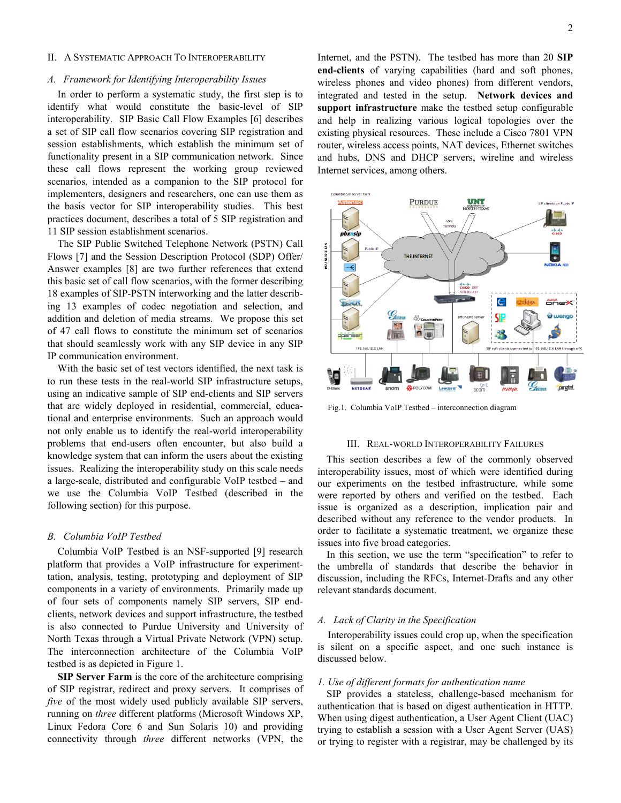#### II. A SYSTEMATIC APPROACH TO INTEROPERABILITY

#### *A. Framework for Identifying Interoperability Issues*

In order to perform a systematic study, the first step is to identify what would constitute the basic-level of SIP interoperability. SIP Basic Call Flow Examples [6] describes a set of SIP call flow scenarios covering SIP registration and session establishments, which establish the minimum set of functionality present in a SIP communication network. Since these call flows represent the working group reviewed scenarios, intended as a companion to the SIP protocol for implementers, designers and researchers, one can use them as the basis vector for SIP interoperability studies. This best practices document, describes a total of 5 SIP registration and 11 SIP session establishment scenarios.

The SIP Public Switched Telephone Network (PSTN) Call Flows [7] and the Session Description Protocol (SDP) Offer/ Answer examples [8] are two further references that extend this basic set of call flow scenarios, with the former describing 18 examples of SIP-PSTN interworking and the latter describing 13 examples of codec negotiation and selection, and addition and deletion of media streams. We propose this set of 47 call flows to constitute the minimum set of scenarios that should seamlessly work with any SIP device in any SIP IP communication environment.

With the basic set of test vectors identified, the next task is to run these tests in the real-world SIP infrastructure setups, using an indicative sample of SIP end-clients and SIP servers that are widely deployed in residential, commercial, educational and enterprise environments. Such an approach would not only enable us to identify the real-world interoperability problems that end-users often encounter, but also build a knowledge system that can inform the users about the existing issues. Realizing the interoperability study on this scale needs a large-scale, distributed and configurable VoIP testbed – and we use the Columbia VoIP Testbed (described in the following section) for this purpose.

## *B. Columbia VoIP Testbed*

Columbia VoIP Testbed is an NSF-supported [9] research platform that provides a VoIP infrastructure for experimenttation, analysis, testing, prototyping and deployment of SIP components in a variety of environments. Primarily made up of four sets of components namely SIP servers, SIP endclients, network devices and support infrastructure, the testbed is also connected to Purdue University and University of North Texas through a Virtual Private Network (VPN) setup. The interconnection architecture of the Columbia VoIP testbed is as depicted in Figure 1.

**SIP Server Farm** is the core of the architecture comprising of SIP registrar, redirect and proxy servers. It comprises of *five* of the most widely used publicly available SIP servers, running on *three* different platforms (Microsoft Windows XP, Linux Fedora Core 6 and Sun Solaris 10) and providing connectivity through *three* different networks (VPN, the

Internet, and the PSTN). The testbed has more than 20 **SIP end-clients** of varying capabilities (hard and soft phones, wireless phones and video phones) from different vendors, integrated and tested in the setup. **Network devices and support infrastructure** make the testbed setup configurable and help in realizing various logical topologies over the existing physical resources. These include a Cisco 7801 VPN router, wireless access points, NAT devices, Ethernet switches and hubs, DNS and DHCP servers, wireline and wireless Internet services, among others.



Fig.1. Columbia VoIP Testbed – interconnection diagram

#### III. REAL-WORLD INTEROPERABILITY FAILURES

This section describes a few of the commonly observed interoperability issues, most of which were identified during our experiments on the testbed infrastructure, while some were reported by others and verified on the testbed. Each issue is organized as a description, implication pair and described without any reference to the vendor products. In order to facilitate a systematic treatment, we organize these issues into five broad categories.

In this section, we use the term "specification" to refer to the umbrella of standards that describe the behavior in discussion, including the RFCs, Internet-Drafts and any other relevant standards document.

## *A. Lack of Clarity in the Specification*

Interoperability issues could crop up, when the specification is silent on a specific aspect, and one such instance is discussed below.

#### *1. Use of different formats for authentication name*

SIP provides a stateless, challenge-based mechanism for authentication that is based on digest authentication in HTTP. When using digest authentication, a User Agent Client (UAC) trying to establish a session with a User Agent Server (UAS) or trying to register with a registrar, may be challenged by its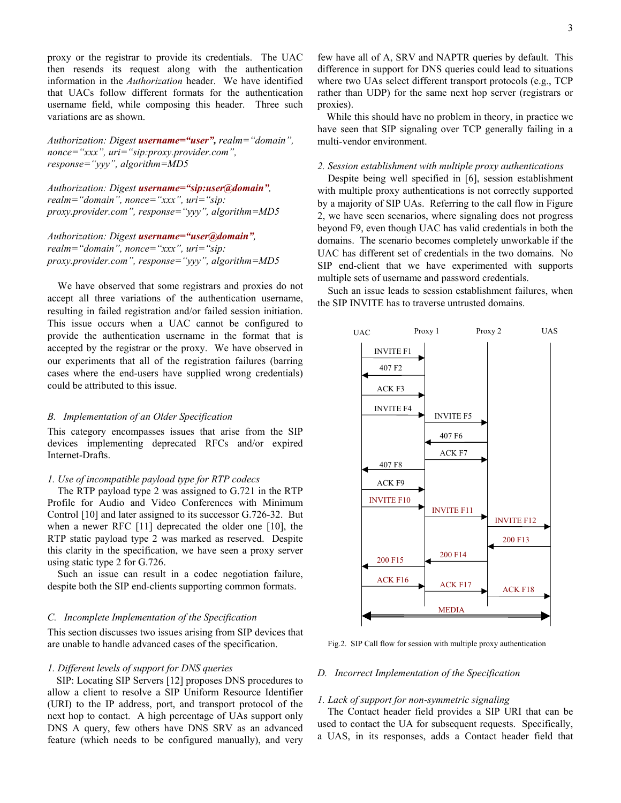proxy or the registrar to provide its credentials. The UAC then resends its request along with the authentication information in the *Authorization* header. We have identified that UACs follow different formats for the authentication username field, while composing this header. Three such variations are as shown.

*Authorization: Digest username="user", realm="domain", nonce="xxx", uri="sip:proxy.provider.com", response="yyy", algorithm=MD5* 

*Authorization: Digest username="sip:user@domain", realm="domain", nonce="xxx", uri="sip: proxy.provider.com", response="yyy", algorithm=MD5* 

*Authorization: Digest username="user@domain", realm="domain", nonce="xxx", uri="sip: proxy.provider.com", response="yyy", algorithm=MD5* 

We have observed that some registrars and proxies do not accept all three variations of the authentication username, resulting in failed registration and/or failed session initiation. This issue occurs when a UAC cannot be configured to provide the authentication username in the format that is accepted by the registrar or the proxy. We have observed in our experiments that all of the registration failures (barring cases where the end-users have supplied wrong credentials) could be attributed to this issue.

## *B. Implementation of an Older Specification*

This category encompasses issues that arise from the SIP devices implementing deprecated RFCs and/or expired Internet-Drafts.

## *1. Use of incompatible payload type for RTP codecs*

The RTP payload type 2 was assigned to G.721 in the RTP Profile for Audio and Video Conferences with Minimum Control [10] and later assigned to its successor G.726-32. But when a newer RFC [11] deprecated the older one [10], the RTP static payload type 2 was marked as reserved. Despite this clarity in the specification, we have seen a proxy server using static type 2 for G.726.

Such an issue can result in a codec negotiation failure, despite both the SIP end-clients supporting common formats.

## *C. Incomplete Implementation of the Specification*

This section discusses two issues arising from SIP devices that are unable to handle advanced cases of the specification.

## *1. Different levels of support for DNS queries*

SIP: Locating SIP Servers [12] proposes DNS procedures to allow a client to resolve a SIP Uniform Resource Identifier (URI) to the IP address, port, and transport protocol of the next hop to contact. A high percentage of UAs support only DNS A query, few others have DNS SRV as an advanced feature (which needs to be configured manually), and very

few have all of A, SRV and NAPTR queries by default. This difference in support for DNS queries could lead to situations where two UAs select different transport protocols (e.g., TCP rather than UDP) for the same next hop server (registrars or proxies).

While this should have no problem in theory, in practice we have seen that SIP signaling over TCP generally failing in a multi-vendor environment.

## *2. Session establishment with multiple proxy authentications*

Despite being well specified in [6], session establishment with multiple proxy authentications is not correctly supported by a majority of SIP UAs. Referring to the call flow in Figure 2, we have seen scenarios, where signaling does not progress beyond F9, even though UAC has valid credentials in both the domains. The scenario becomes completely unworkable if the UAC has different set of credentials in the two domains. No SIP end-client that we have experimented with supports multiple sets of username and password credentials.

Such an issue leads to session establishment failures, when the SIP INVITE has to traverse untrusted domains.



Fig.2. SIP Call flow for session with multiple proxy authentication

## *D. Incorrect Implementation of the Specification*

#### *1. Lack of support for non-symmetric signaling*

The Contact header field provides a SIP URI that can be used to contact the UA for subsequent requests. Specifically, a UAS, in its responses, adds a Contact header field that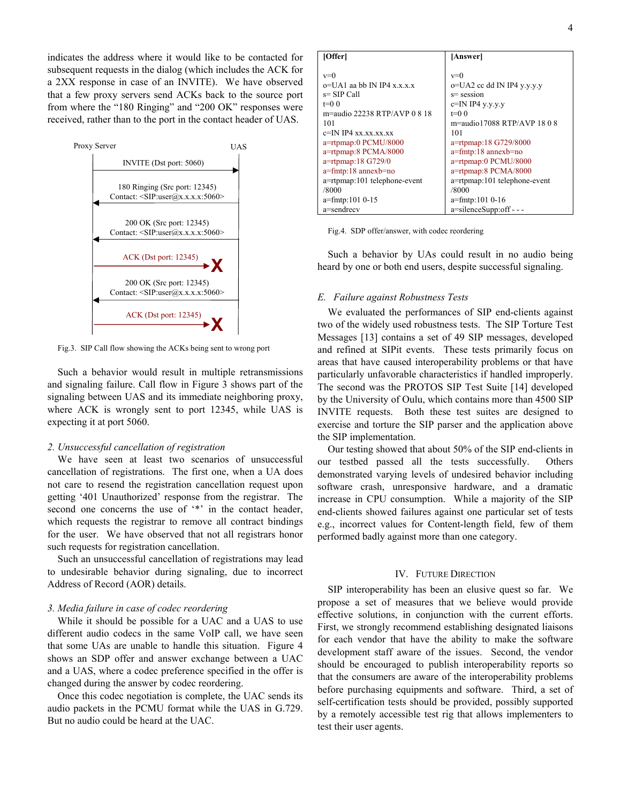indicates the address where it would like to be contacted for subsequent requests in the dialog (which includes the ACK for a 2XX response in case of an INVITE). We have observed that a few proxy servers send ACKs back to the source port from where the "180 Ringing" and "200 OK" responses were received, rather than to the port in the contact header of UAS.



Fig.3. SIP Call flow showing the ACKs being sent to wrong port

Such a behavior would result in multiple retransmissions and signaling failure. Call flow in Figure 3 shows part of the signaling between UAS and its immediate neighboring proxy, where ACK is wrongly sent to port 12345, while UAS is expecting it at port 5060.

## *2. Unsuccessful cancellation of registration*

We have seen at least two scenarios of unsuccessful cancellation of registrations. The first one, when a UA does not care to resend the registration cancellation request upon getting '401 Unauthorized' response from the registrar. The second one concerns the use of '\*' in the contact header, which requests the registrar to remove all contract bindings for the user. We have observed that not all registrars honor such requests for registration cancellation.

Such an unsuccessful cancellation of registrations may lead to undesirable behavior during signaling, due to incorrect Address of Record (AOR) details.

## *3. Media failure in case of codec reordering*

While it should be possible for a UAC and a UAS to use different audio codecs in the same VoIP call, we have seen that some UAs are unable to handle this situation. Figure 4 shows an SDP offer and answer exchange between a UAC and a UAS, where a codec preference specified in the offer is changed during the answer by codec reordering.

Once this codec negotiation is complete, the UAC sends its audio packets in the PCMU format while the UAS in G.729. But no audio could be heard at the UAC.

| [Offer]                       | [Answer]                       |
|-------------------------------|--------------------------------|
|                               |                                |
| $v=0$                         | $v=0$                          |
| $o=UA1$ as bb IN IP4 x x x x  | o=UA2 cc dd IN IP4 y.y.y.y     |
| s= SIP Call                   | $s$ = session                  |
| $t=0$ 0                       | $c=IN$ IP4 y.y.y.y             |
| m=audio 22238 RTP/AVP $0.818$ | $t=0$ 0                        |
| 101                           | $m =$ audio 17088 RTP/AVP 1808 |
| $c=IN$ IP4 xx xx xx xx        | 101                            |
| a=rtpmap:0 PCMU/8000          | a=rtpmap:18 G729/8000          |
| a=rtpmap:8 PCMA/8000          | $a = f$ mtp:18 annexb=no       |
| a=rtpmap:18 G729/0            | a=rtpmap:0 PCMU/8000           |
| $a = f$ mtp:18 annexb=no      | a=rtpmap:8 PCMA/8000           |
| a=rtpmap:101 telephone-event  | a=rtpmap:101 telephone-event   |
| /8000                         | /8000                          |
| $a = f$ mtp:101 0-15          | $a = f$ mtp:101 0-16           |
| a=sendrecv                    | $a = silenceSupp:$ off - - -   |

Such a behavior by UAs could result in no audio being he ard by one or both end users, despite successful signaling.

#### *E. Failure against Robustness Tests*

We evaluated the performances of SIP end-clients against tw o of the widely used robustness tests. The SIP Torture Test Messages [13] contains a set of 49 SIP messages, developed and refined at SIPit events. These tests primarily focus on areas that have caused interoperability problems or that have particularly unfavorable characteristics if handled improperly. The second was the PROTOS SIP Test Suite [14] developed by the University of Oulu, which contains more than 4500 SIP INVITE requests. Both these test suites are designed to exercise and torture the SIP parser and the application above the SIP implementation.

Our testing showed that about 50% of the SIP end-clients in ou r testbed passed all the tests successfully. Others demonstrated varying levels of undesired behavior including software crash, unresponsive hardware, and a dramatic increase in CPU consumption. While a majority of the SIP end-clients showed failures against one particular set of tests e.g., incorrect values for Content-length field, few of them performed badly against more than one category.

## IV. FUTURE DIRECTION

SIP interoperability has been an elusive quest so far. We pr opose a set of measures that we believe would provide effective solutions, in conjunction with the current efforts. First, we strongly recommend establishing designated liaisons for each vendor that have the ability to make the software development staff aware of the issues. Second, the vendor should be encouraged to publish interoperability reports so that the consumers are aware of the interoperability problems before purchasing equipments and software. Third, a set of self-certification tests should be provided, possibly supported by a remotely accessible test rig that allows implementers to test their user agents.